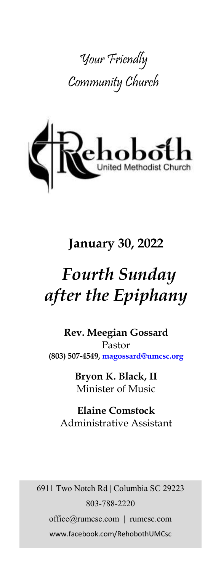



# **January 30, 2022**

# *Fourth Sunday after the Epiphany*

**Rev. Meegian Gossard** Pastor **(803) 507-4549, magossard@umcsc.org**

> **Bryon K. Black, II** Minister of Music

**Elaine Comstock** Administrative Assistant

6911 Two Notch Rd | Columbia SC 29223 803-788-2220 office@rumcsc.com | rumcsc.com www.facebook.com/RehobothUMCsc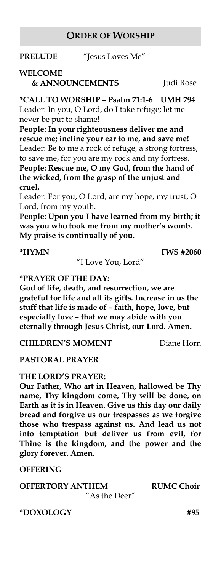#### **ORDER OF WORSHIP**

**PRELUDE** "Jesus Loves Me"

#### **WELCOME & ANNOUNCEMENTS** Judi Rose

**\*CALL TO WORSHIP – Psalm 71:1-6 UMH 794** Leader: In you, O Lord, do I take refuge; let me never be put to shame!

**People: In your righteousness deliver me and rescue me; incline your ear to me, and save me!** Leader: Be to me a rock of refuge, a strong fortress, to save me, for you are my rock and my fortress. **People: Rescue me, O my God, from the hand of the wicked, from the grasp of the unjust and cruel.**

Leader: For you, O Lord, are my hope, my trust, O Lord, from my youth.

**People: Upon you I have learned from my birth; it was you who took me from my mother's womb. My praise is continually of you.**

#### **\*HYMN FWS #2060**

"I Love You, Lord"

#### **\*PRAYER OF THE DAY:**

**God of life, death, and resurrection, we are grateful for life and all its gifts. Increase in us the stuff that life is made of – faith, hope, love, but especially love – that we may abide with you eternally through Jesus Christ, our Lord. Amen.**

**CHILDREN'S MOMENT** Diane Horn

#### **PASTORAL PRAYER**

#### **THE LORD'S PRAYER:**

**Our Father, Who art in Heaven, hallowed be Thy name, Thy kingdom come, Thy will be done, on Earth as it is in Heaven. Give us this day our daily bread and forgive us our trespasses as we forgive those who trespass against us. And lead us not into temptation but deliver us from evil, for Thine is the kingdom, and the power and the glory forever. Amen.** 

#### **OFFERING**

#### **OFFERTORY ANTHEM RUMC Choir**

"As the Deer"

**\*DOXOLOGY #95**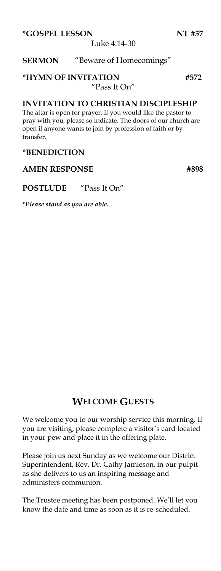**\*GOSPEL LESSON NT #57**

Luke 4:14-30

#### **SERMON** "Beware of Homecomings"

#### **\*HYMN OF INVITATION #572**  "Pass It On"

**INVITATION TO CHRISTIAN DISCIPLESHIP**

The altar is open for prayer. If you would like the pastor to pray with you, please so indicate. The doors of our church are open if anyone wants to join by profession of faith or by transfer.

#### **\*BENEDICTION**

#### **AMEN RESPONSE #898**

**POSTLUDE** "Pass It On"

*\*Please stand as you are able.*

## **WELCOME GUESTS**

We welcome you to our worship service this morning. If you are visiting, please complete a visitor's card located in your pew and place it in the offering plate.

Please join us next Sunday as we welcome our District Superintendent, Rev. Dr. Cathy Jamieson, in our pulpit as she delivers to us an inspiring message and administers communion.

The Trustee meeting has been postponed. We'll let you know the date and time as soon as it is re-scheduled.